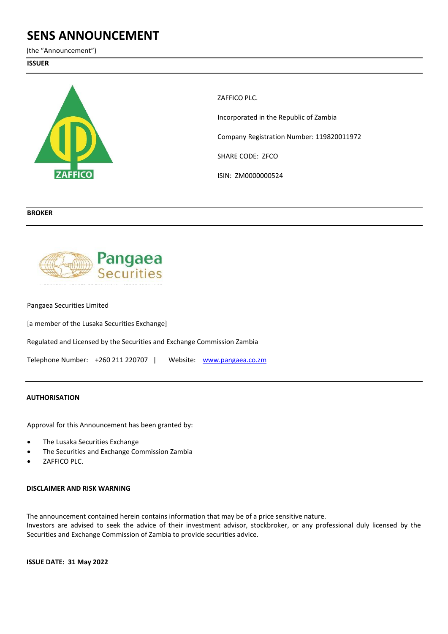# **SENS ANNOUNCEMENT**

(the "Announcement")

## **ISSUER**



ZAFFICO PLC. Incorporated in the Republic of Zambia Company Registration Number: 119820011972 SHARE CODE: ZFCO ISIN: ZM0000000524

## **BROKER**



Pangaea Securities Limited

[a member of the Lusaka Securities Exchange]

Regulated and Licensed by the Securities and Exchange Commission Zambia

Telephone Number: +260 211 220707 | Website: www.pangaea.co.zm

#### **AUTHORISATION**

Approval for this Announcement has been granted by:

- The Lusaka Securities Exchange
- The Securities and Exchange Commission Zambia
- ZAFFICO PLC.

#### **DISCLAIMER AND RISK WARNING**

The announcement contained herein contains information that may be of a price sensitive nature. Investors are advised to seek the advice of their investment advisor, stockbroker, or any professional duly licensed by the Securities and Exchange Commission of Zambia to provide securities advice.

**ISSUE DATE: 31 May 2022**